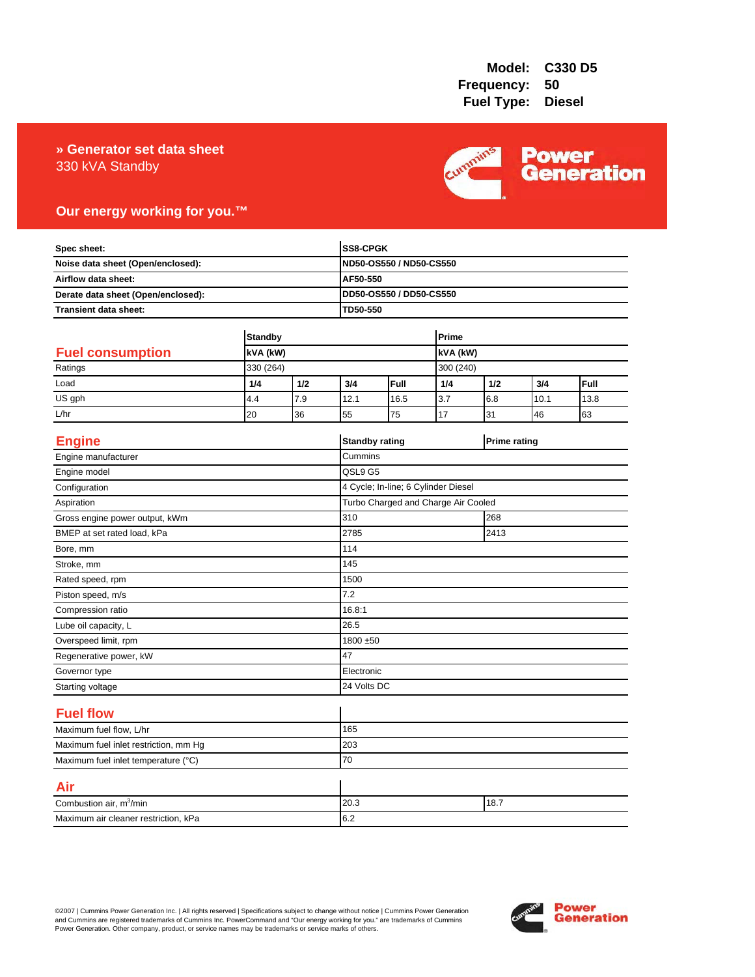## 330 kVA Standby **» Generator set data sheet**



# **Our energy working for you.™**

| Spec sheet:<br>Noise data sheet (Open/enclosed):<br>Airflow data sheet:<br>Derate data sheet (Open/enclosed): |                            |     |          | SS8-CPGK<br>ND50-OS550 / ND50-CS550<br>AF50-550 |           |          |                     |      |
|---------------------------------------------------------------------------------------------------------------|----------------------------|-----|----------|-------------------------------------------------|-----------|----------|---------------------|------|
|                                                                                                               |                            |     |          |                                                 |           |          |                     |      |
|                                                                                                               |                            |     |          |                                                 |           |          |                     |      |
|                                                                                                               |                            |     |          | DD50-OS550 / DD50-CS550                         |           |          |                     |      |
| Transient data sheet:                                                                                         |                            |     | TD50-550 |                                                 |           |          |                     |      |
|                                                                                                               |                            |     |          |                                                 |           |          |                     |      |
|                                                                                                               | <b>Standby</b><br>kVA (kW) |     |          | Prime                                           |           |          |                     |      |
| <b>Fuel consumption</b>                                                                                       |                            |     |          |                                                 |           | kVA (kW) |                     |      |
| Ratings                                                                                                       | 330 (264)                  |     |          |                                                 | 300 (240) |          |                     |      |
| Load                                                                                                          | 1/4                        | 1/2 | 3/4      | Full                                            | 1/4       | 1/2      | 3/4                 | Full |
| US gph                                                                                                        | 4.4                        | 7.9 | 12.1     | 16.5                                            | 3.7       | 6.8      | 10.1                | 13.8 |
| L/hr                                                                                                          | 20                         | 36  | 55       | 75                                              | 17        | 31       | 46                  | 63   |
| <b>Engine</b>                                                                                                 |                            |     |          | <b>Standby rating</b>                           |           |          | <b>Prime rating</b> |      |
| Engine manufacturer                                                                                           |                            |     | Cummins  |                                                 |           |          |                     |      |
| Engine model                                                                                                  |                            |     | QSL9 G5  |                                                 |           |          |                     |      |
| Configuration                                                                                                 |                            |     |          | 4 Cycle; In-line; 6 Cylinder Diesel             |           |          |                     |      |
| Aspiration                                                                                                    |                            |     |          | Turbo Charged and Charge Air Cooled             |           |          |                     |      |
| Gross engine power output, kWm                                                                                |                            |     | 310      | 268                                             |           |          |                     |      |
| BMEP at set rated load, kPa                                                                                   |                            |     | 2785     | 2413                                            |           |          |                     |      |
| Bore, mm                                                                                                      |                            |     | 114      |                                                 |           |          |                     |      |
| Stroke, mm                                                                                                    |                            |     | 145      |                                                 |           |          |                     |      |
| Rated speed, rpm                                                                                              |                            |     | 1500     |                                                 |           |          |                     |      |
| Piston speed, m/s                                                                                             |                            |     | 7.2      |                                                 |           |          |                     |      |
| Compression ratio                                                                                             |                            |     | 16.8:1   |                                                 |           |          |                     |      |
| Lube oil capacity, L                                                                                          |                            |     | 26.5     |                                                 |           |          |                     |      |
| Overspeed limit, rpm                                                                                          |                            |     |          | 1800 ±50                                        |           |          |                     |      |
| Regenerative power, kW                                                                                        |                            |     | 47       |                                                 |           |          |                     |      |
| Governor type                                                                                                 |                            |     |          | Electronic                                      |           |          |                     |      |
| Starting voltage                                                                                              |                            |     |          | 24 Volts DC                                     |           |          |                     |      |
| <b>Fuel flow</b>                                                                                              |                            |     |          |                                                 |           |          |                     |      |
| Maximum fuel flow, L/hr                                                                                       |                            |     | 165      |                                                 |           |          |                     |      |
| Maximum fuel inlet restriction, mm Hg                                                                         |                            |     | 203      |                                                 |           |          |                     |      |
| Maximum fuel inlet temperature (°C)                                                                           |                            |     | 70       |                                                 |           |          |                     |      |
| Air                                                                                                           |                            |     |          |                                                 |           |          |                     |      |
| Combustion air, m <sup>3</sup> /min                                                                           |                            |     | 20.3     | 18.7                                            |           |          |                     |      |
| Maximum air cleaner restriction, kPa                                                                          |                            |     | 6.2      |                                                 |           |          |                     |      |

©2007 | Cummins Power Generation Inc. | All rights reserved | Specifications subject to change without notice | Cummins Power Generation<br>and Cummins are registered trademarks of Cummins Inc. PowerCommand and "Our energy w

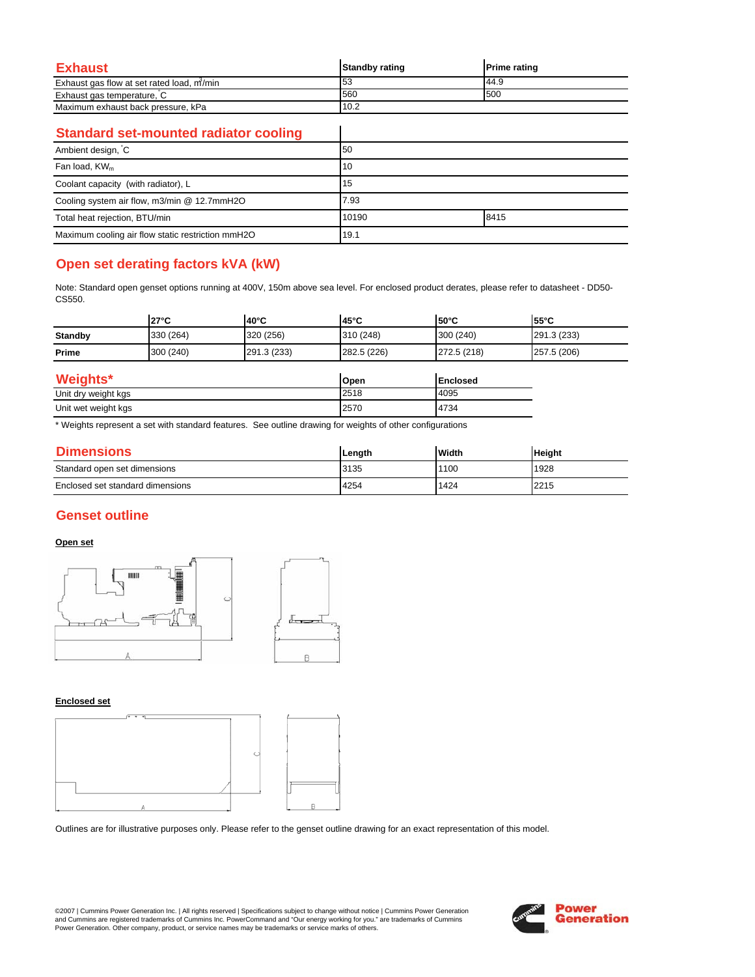| Exhaust                                   | <b>Standby rating</b> | <b>Prime rating</b> |
|-------------------------------------------|-----------------------|---------------------|
| Exhaust gas flow at set rated load, m/min | 53                    | 44.9                |
| Exhaust gas temperature, C                | 560                   | 500                 |
| Maximum exhaust back pressure, kPa        | 10.2                  |                     |

 $\overline{\phantom{a}}$ 

### **Standard set-mounted radiator cooling**

| Ambient design, C                                 | 50    |      |  |
|---------------------------------------------------|-------|------|--|
| Fan load, $KW_m$                                  | 10    |      |  |
| Coolant capacity (with radiator), L               | 15    |      |  |
| Cooling system air flow, m3/min @ 12.7mmH2O       | 7.93  |      |  |
| Total heat rejection, BTU/min                     | 10190 | 8415 |  |
| Maximum cooling air flow static restriction mmH2O | 19.1  |      |  |

# **Open set derating factors kVA (kW)**

Note: Standard open genset options running at 400V, 150m above sea level. For enclosed product derates, please refer to datasheet - DD50- CS550.

|                | $27^{\circ}$ C | $140^{\circ}$ C | 45°C        | $150^{\circ}$ C | $55^{\circ}$ C |
|----------------|----------------|-----------------|-------------|-----------------|----------------|
| <b>Standby</b> | 330 (264)      | 320 (256)       | 310 (248)   | 300 (240)       | 291.3 (233)    |
| Prime          | 300 (240)      | 291.3 (233)     | 282.5 (226) | 272.5 (218)     | 257.5 (206)    |
|                |                |                 |             |                 |                |

| Weights*            | Open | <b>Enclosed</b> |
|---------------------|------|-----------------|
| Unit dry weight kgs | 2518 | 4095            |
| Unit wet weight kgs | 2570 | 4734            |

\* Weights represent a set with standard features. See outline drawing for weights of other configurations

| <b>Dimensions</b>                | Lenath | Width | <b>Height</b> |
|----------------------------------|--------|-------|---------------|
| Standard open set dimensions     | 3135   | 1100  | 1928          |
| Enclosed set standard dimensions | 4254   | 1424  | 2215          |

### **Genset outline**

### **Open set**



#### **Enclosed set**



Outlines are for illustrative purposes only. Please refer to the genset outline drawing for an exact representation of this model.

©2007 | Cummins Power Generation Inc. | All rights reserved | Specifications subject to change without notice | Cummins Power Generation and Cummins are registered trademarks of Cummins Inc. PowerCommand and "Our energy working for you." are trademarks of Cummins<br>Power Generation. Other company, product, or service names may be trademarks or service marks o